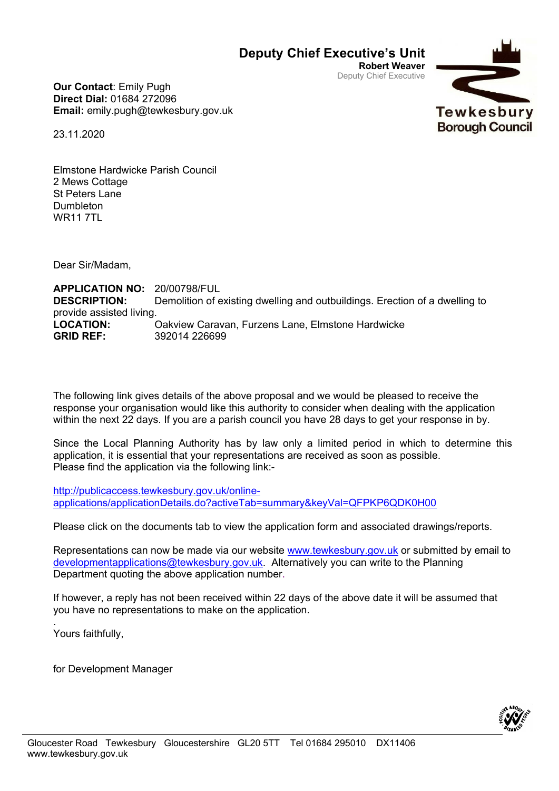## **Deputy Chief Executive's Unit**

**Robert Weaver** Deputy Chief Executive

> Tewkesbury **Borough Council**



23.11.2020

Elmstone Hardwicke Parish Council 2 Mews Cottage St Peters Lane Dumbleton WR11 7TL

Dear Sir/Madam,

**APPLICATION NO:** 20/00798/FUL **DESCRIPTION:** Demolition of existing dwelling and outbuildings. Erection of a dwelling to provide assisted living. **LOCATION:** Oakview Caravan, Furzens Lane, Elmstone Hardwicke **GRID REF:** 392014 226699

The following link gives details of the above proposal and we would be pleased to receive the response your organisation would like this authority to consider when dealing with the application within the next 22 days. If you are a parish council you have 28 days to get your response in by.

Since the Local Planning Authority has by law only a limited period in which to determine this application, it is essential that your representations are received as soon as possible. Please find the application via the following link:-

[http://publicaccess.tewkesbury.gov.uk/online](http://publicaccess.tewkesbury.gov.uk/online-applications/applicationDetails.do?activeTab=summary&keyVal=QFPKP6QDK0H00)[applications/applicationDetails.do?activeTab=summary&keyVal=QFPKP6QDK0H00](http://publicaccess.tewkesbury.gov.uk/online-applications/applicationDetails.do?activeTab=summary&keyVal=QFPKP6QDK0H00)

Please click on the documents tab to view the application form and associated drawings/reports.

Representations can now be made via our website [www.tewkesbury.gov.uk](http://www.tewkesbury.gov.uk/) or submitted by email to [developmentapplications@tewkesbury.gov.uk.](mailto:developmentapplications@tewkesbury.gov.uk) Alternatively you can write to the Planning Department quoting the above application number.

If however, a reply has not been received within 22 days of the above date it will be assumed that you have no representations to make on the application.

Yours faithfully,

.

for Development Manager